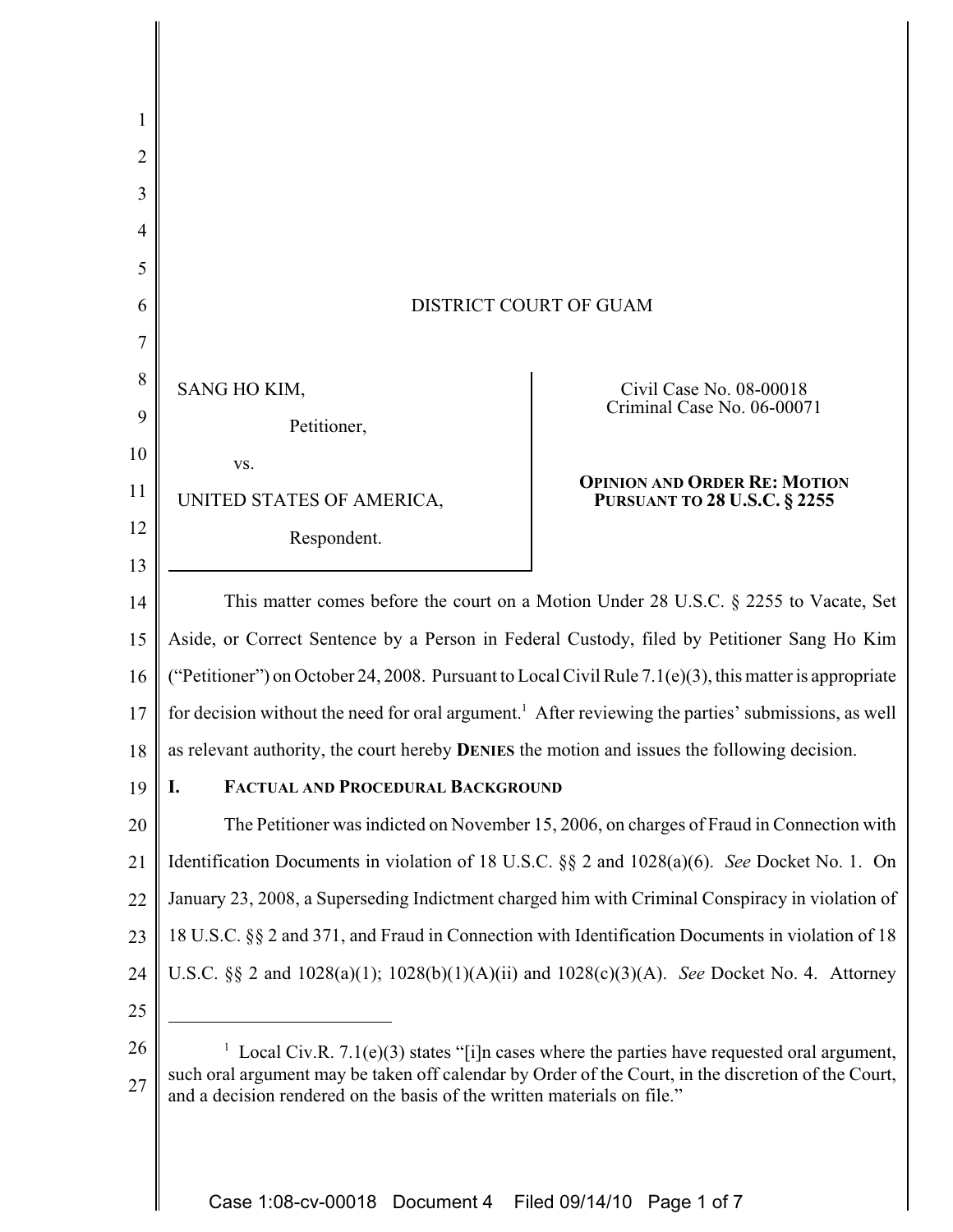| 2  |                                                                                                                                                                                |                                                                            |
|----|--------------------------------------------------------------------------------------------------------------------------------------------------------------------------------|----------------------------------------------------------------------------|
| 3  |                                                                                                                                                                                |                                                                            |
| 4  |                                                                                                                                                                                |                                                                            |
| 5  |                                                                                                                                                                                |                                                                            |
| 6  | DISTRICT COURT OF GUAM                                                                                                                                                         |                                                                            |
|    |                                                                                                                                                                                |                                                                            |
| 8  | SANG HO KIM,                                                                                                                                                                   | Civil Case No. 08-00018                                                    |
| 9  | Petitioner,                                                                                                                                                                    | Criminal Case No. 06-00071                                                 |
| 10 | VS.                                                                                                                                                                            |                                                                            |
| 11 | UNITED STATES OF AMERICA,                                                                                                                                                      | <b>OPINION AND ORDER RE: MOTION</b><br><b>PURSUANT TO 28 U.S.C. § 2255</b> |
| 12 | Respondent.                                                                                                                                                                    |                                                                            |
| 13 |                                                                                                                                                                                |                                                                            |
| 14 | This matter comes before the court on a Motion Under 28 U.S.C. § 2255 to Vacate, Set                                                                                           |                                                                            |
| 15 | Aside, or Correct Sentence by a Person in Federal Custody, filed by Petitioner Sang Ho Kim                                                                                     |                                                                            |
| 16 | ("Petitioner") on October 24, 2008. Pursuant to Local Civil Rule 7.1(e)(3), this matter is appropriate                                                                         |                                                                            |
| 17 | for decision without the need for oral argument. <sup>1</sup> After reviewing the parties' submissions, as well                                                                |                                                                            |
| 18 | as relevant authority, the court hereby <b>DENIES</b> the motion and issues the following decision.                                                                            |                                                                            |
| 19 | I.<br>FACTUAL AND PROCEDURAL BACKGROUND                                                                                                                                        |                                                                            |
| 20 | The Petitioner was indicted on November 15, 2006, on charges of Fraud in Connection with                                                                                       |                                                                            |
| 21 | Identification Documents in violation of 18 U.S.C. §§ 2 and 1028(a)(6). See Docket No. 1. On                                                                                   |                                                                            |
| 22 | January 23, 2008, a Superseding Indictment charged him with Criminal Conspiracy in violation of                                                                                |                                                                            |
| 23 | 18 U.S.C. §§ 2 and 371, and Fraud in Connection with Identification Documents in violation of 18                                                                               |                                                                            |
| 24 | U.S.C. §§ 2 and $1028(a)(1)$ ; $1028(b)(1)(A)(ii)$ and $1028(c)(3)(A)$ . See Docket No. 4. Attorney                                                                            |                                                                            |
| 25 |                                                                                                                                                                                |                                                                            |
| 26 | Local Civ.R. 7.1(e)(3) states "[i]n cases where the parties have requested oral argument,                                                                                      |                                                                            |
| 27 | such oral argument may be taken off calendar by Order of the Court, in the discretion of the Court,<br>and a decision rendered on the basis of the written materials on file." |                                                                            |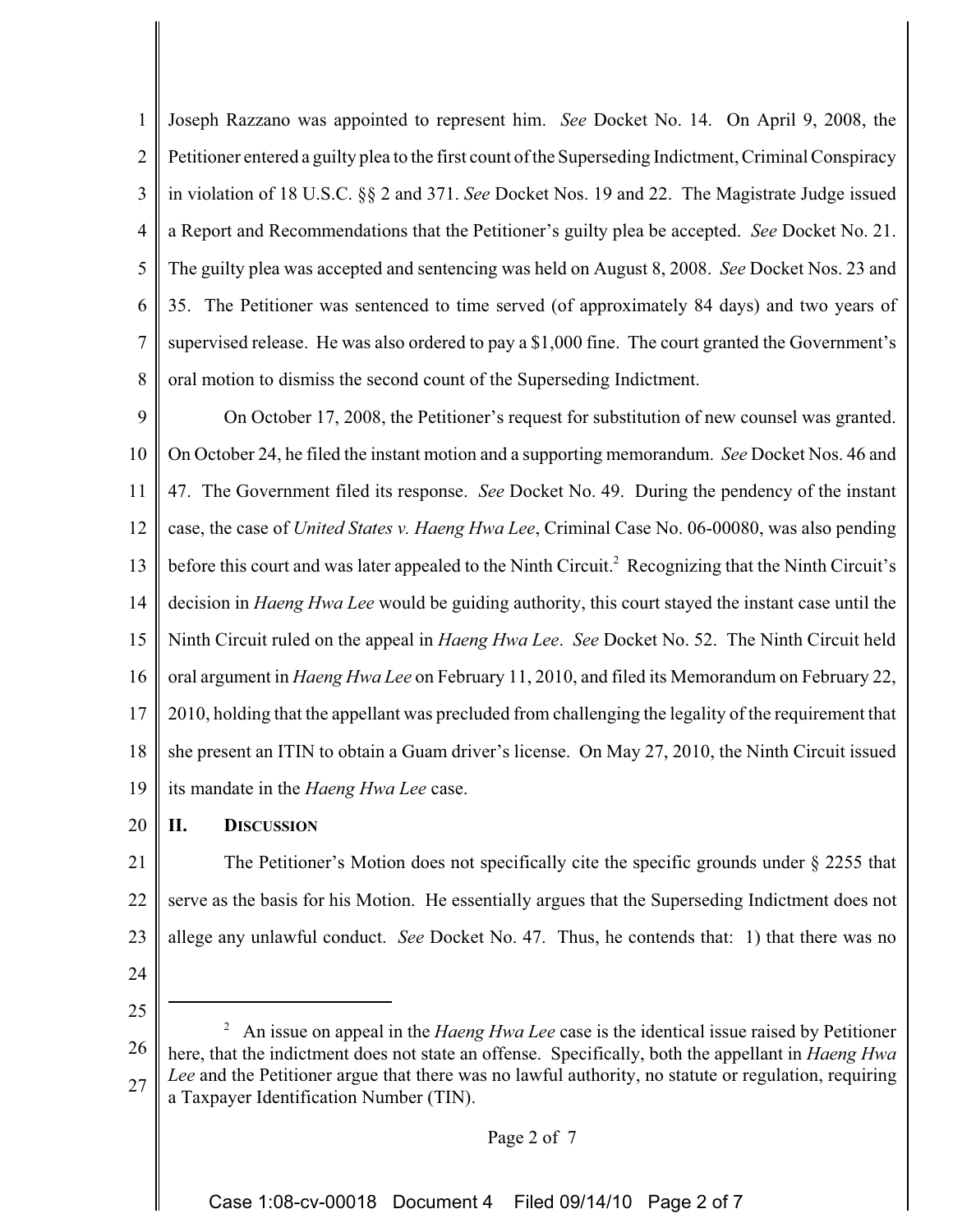1 2 3 4 5 6 7 8 Joseph Razzano was appointed to represent him. *See* Docket No. 14. On April 9, 2008, the Petitioner entered a guilty plea to the first count of the Superseding Indictment, Criminal Conspiracy in violation of 18 U.S.C. §§ 2 and 371. *See* Docket Nos. 19 and 22. The Magistrate Judge issued a Report and Recommendations that the Petitioner's guilty plea be accepted. *See* Docket No. 21. The guilty plea was accepted and sentencing was held on August 8, 2008. *See* Docket Nos. 23 and 35. The Petitioner was sentenced to time served (of approximately 84 days) and two years of supervised release. He was also ordered to pay a \$1,000 fine. The court granted the Government's oral motion to dismiss the second count of the Superseding Indictment.

9 10 11 12 13 14 15 16 17 18 19 On October 17, 2008, the Petitioner's request for substitution of new counsel was granted. On October 24, he filed the instant motion and a supporting memorandum. *See* Docket Nos. 46 and 47. The Government filed its response. *See* Docket No. 49. During the pendency of the instant case, the case of *United States v. Haeng Hwa Lee*, Criminal Case No. 06-00080, was also pending before this court and was later appealed to the Ninth Circuit.<sup>2</sup> Recognizing that the Ninth Circuit's decision in *Haeng Hwa Lee* would be guiding authority, this court stayed the instant case until the Ninth Circuit ruled on the appeal in *Haeng Hwa Lee*. *See* Docket No. 52. The Ninth Circuit held oral argument in *Haeng Hwa Lee* on February 11, 2010, and filed its Memorandum on February 22, 2010, holding that the appellant was precluded from challenging the legality of the requirement that she present an ITIN to obtain a Guam driver's license. On May 27, 2010, the Ninth Circuit issued its mandate in the *Haeng Hwa Lee* case.

#### 20 **II. DISCUSSION**

21 22 23 The Petitioner's Motion does not specifically cite the specific grounds under § 2255 that serve as the basis for his Motion. He essentially argues that the Superseding Indictment does not allege any unlawful conduct. *See* Docket No. 47. Thus, he contends that: 1) that there was no

24

25

26 27 2 An issue on appeal in the *Haeng Hwa Lee* case is the identical issue raised by Petitioner here, that the indictment does not state an offense. Specifically, both the appellant in *Haeng Hwa Lee* and the Petitioner argue that there was no lawful authority, no statute or regulation, requiring a Taxpayer Identification Number (TIN).

# Page 2 of 7

Case 1:08-cv-00018 Document 4 Filed 09/14/10 Page 2 of 7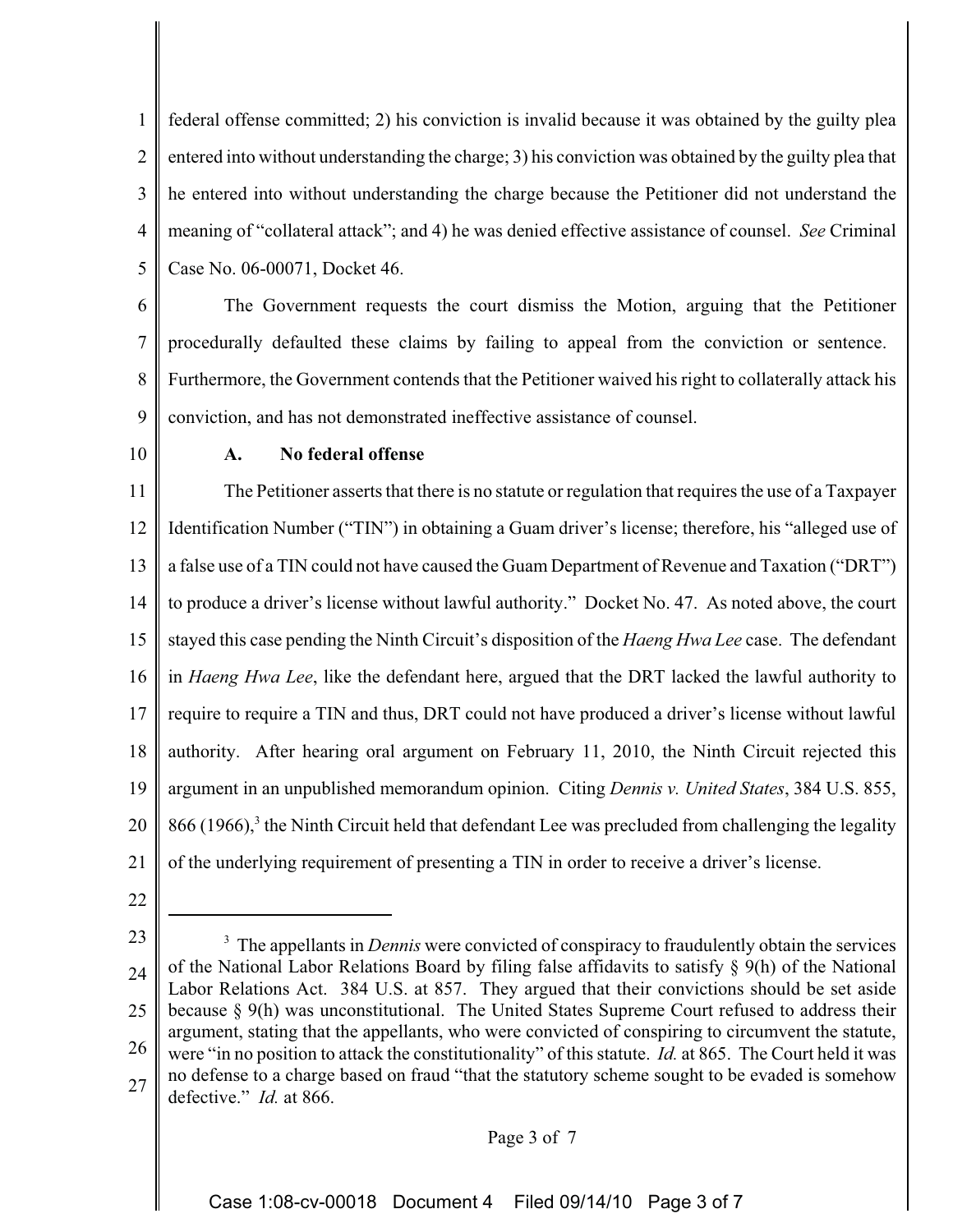1 2 3 4 5 federal offense committed; 2) his conviction is invalid because it was obtained by the guilty plea entered into without understanding the charge; 3) his conviction was obtained by the guilty plea that he entered into without understanding the charge because the Petitioner did not understand the meaning of "collateral attack"; and 4) he was denied effective assistance of counsel. *See* Criminal Case No. 06-00071, Docket 46.

6 7 8 9 The Government requests the court dismiss the Motion, arguing that the Petitioner procedurally defaulted these claims by failing to appeal from the conviction or sentence. Furthermore, the Government contends that the Petitioner waived his right to collaterally attack his conviction, and has not demonstrated ineffective assistance of counsel.

10

# **A. No federal offense**

11 12 13 14 15 16 17 18 19 20 21 The Petitioner asserts that there is no statute or regulation that requires the use of a Taxpayer Identification Number ("TIN") in obtaining a Guam driver's license; therefore, his "alleged use of a false use of a TIN could not have caused the Guam Department of Revenue and Taxation ("DRT") to produce a driver's license without lawful authority." Docket No. 47. As noted above, the court stayed this case pending the Ninth Circuit's disposition of the *Haeng Hwa Lee* case. The defendant in *Haeng Hwa Lee*, like the defendant here, argued that the DRT lacked the lawful authority to require to require a TIN and thus, DRT could not have produced a driver's license without lawful authority. After hearing oral argument on February 11, 2010, the Ninth Circuit rejected this argument in an unpublished memorandum opinion. Citing *Dennis v. United States*, 384 U.S. 855,  $866$  (1966),<sup>3</sup> the Ninth Circuit held that defendant Lee was precluded from challenging the legality of the underlying requirement of presenting a TIN in order to receive a driver's license.

22

### Page 3 of 7

<sup>23</sup> 24 25 26 27 <sup>3</sup> The appellants in *Dennis* were convicted of conspiracy to fraudulently obtain the services of the National Labor Relations Board by filing false affidavits to satisfy § 9(h) of the National Labor Relations Act. 384 U.S. at 857. They argued that their convictions should be set aside because § 9(h) was unconstitutional. The United States Supreme Court refused to address their argument, stating that the appellants, who were convicted of conspiring to circumvent the statute, were "in no position to attack the constitutionality" of this statute. *Id.* at 865. The Court held it was no defense to a charge based on fraud "that the statutory scheme sought to be evaded is somehow defective." *Id.* at 866.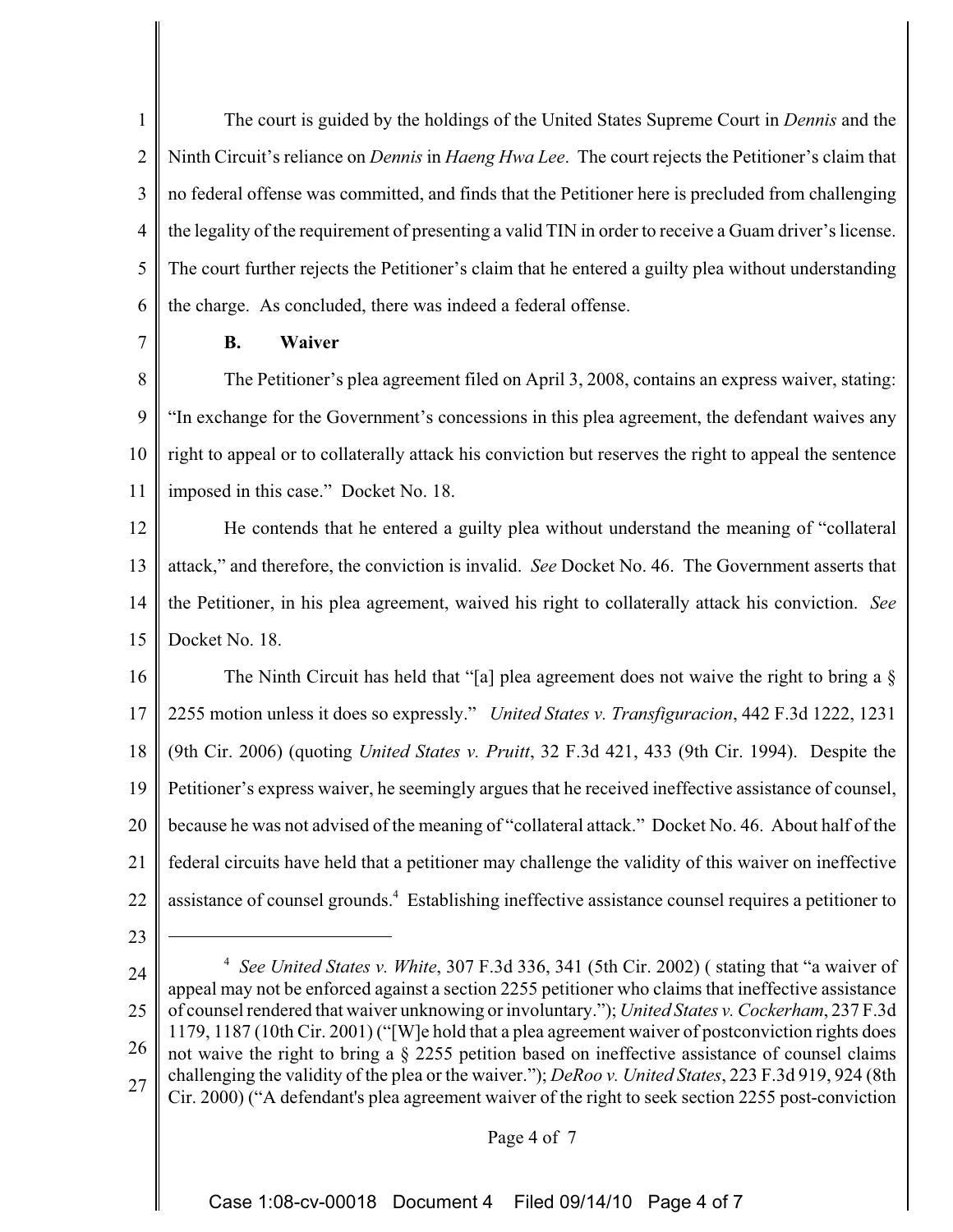1 2 3 4 5 6 The court is guided by the holdings of the United States Supreme Court in *Dennis* and the Ninth Circuit's reliance on *Dennis* in *Haeng Hwa Lee*. The court rejects the Petitioner's claim that no federal offense was committed, and finds that the Petitioner here is precluded from challenging the legality of the requirement of presenting a valid TIN in order to receive a Guam driver's license. The court further rejects the Petitioner's claim that he entered a guilty plea without understanding the charge. As concluded, there was indeed a federal offense.

7

# **B. Waiver**

8 9 10 11 The Petitioner's plea agreement filed on April 3, 2008, contains an express waiver, stating: "In exchange for the Government's concessions in this plea agreement, the defendant waives any right to appeal or to collaterally attack his conviction but reserves the right to appeal the sentence imposed in this case." Docket No. 18.

12 13 14 15 He contends that he entered a guilty plea without understand the meaning of "collateral attack," and therefore, the conviction is invalid. *See* Docket No. 46. The Government asserts that the Petitioner, in his plea agreement, waived his right to collaterally attack his conviction. *See* Docket No. 18.

16 17 18 19 20 21 22 The Ninth Circuit has held that "[a] plea agreement does not waive the right to bring a § 2255 motion unless it does so expressly." *United States v. Transfiguracion*, 442 F.3d 1222, 1231 (9th Cir. 2006) (quoting *United States v. Pruitt*, 32 F.3d 421, 433 (9th Cir. 1994). Despite the Petitioner's express waiver, he seemingly argues that he received ineffective assistance of counsel, because he was not advised of the meaning of "collateral attack." Docket No. 46. About half of the federal circuits have held that a petitioner may challenge the validity of this waiver on ineffective assistance of counsel grounds.4 Establishing ineffective assistance counsel requires a petitioner to

23

24 25 26 27 <sup>4</sup> *See United States v. White*, 307 F.3d 336, 341 (5th Cir. 2002) ( stating that "a waiver of appeal may not be enforced against a section 2255 petitioner who claims that ineffective assistance of counsel rendered that waiver unknowing or involuntary."); *United States v. Cockerham*, 237 F.3d 1179, 1187 (10th Cir. 2001) ("[W]e hold that a plea agreement waiver of postconviction rights does not waive the right to bring a § 2255 petition based on ineffective assistance of counsel claims challenging the validity of the plea or the waiver."); *DeRoo v. United States*, 223 F.3d 919, 924 (8th Cir. 2000) ("A defendant's plea agreement waiver of the right to seek section 2255 post-conviction

### Page 4 of 7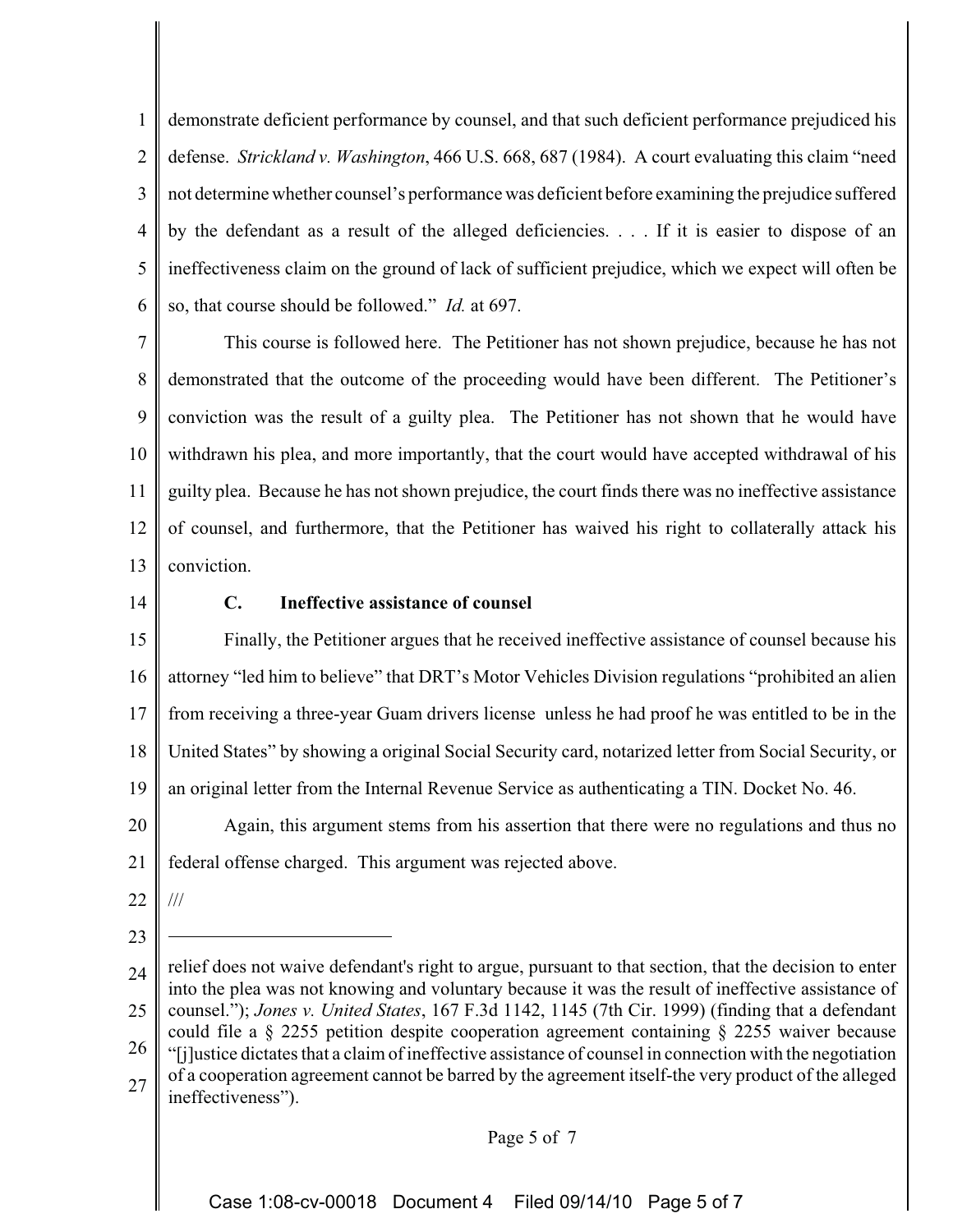1 2 3 4 5 6 demonstrate deficient performance by counsel, and that such deficient performance prejudiced his defense. *Strickland v. Washington*, 466 U.S. 668, 687 (1984). A court evaluating this claim "need not determine whether counsel's performance was deficient before examining the prejudice suffered by the defendant as a result of the alleged deficiencies. . . . If it is easier to dispose of an ineffectiveness claim on the ground of lack of sufficient prejudice, which we expect will often be so, that course should be followed." *Id.* at 697.

7 8 9 10 11 12 13 This course is followed here. The Petitioner has not shown prejudice, because he has not demonstrated that the outcome of the proceeding would have been different. The Petitioner's conviction was the result of a guilty plea. The Petitioner has not shown that he would have withdrawn his plea, and more importantly, that the court would have accepted withdrawal of his guilty plea. Because he has not shown prejudice, the court finds there was no ineffective assistance of counsel, and furthermore, that the Petitioner has waived his right to collaterally attack his conviction.

14

# **C. Ineffective assistance of counsel**

15 16 17 18 19 20 Finally, the Petitioner argues that he received ineffective assistance of counsel because his attorney "led him to believe" that DRT's Motor Vehicles Division regulations "prohibited an alien from receiving a three-year Guam drivers license unless he had proof he was entitled to be in the United States" by showing a original Social Security card, notarized letter from Social Security, or an original letter from the Internal Revenue Service as authenticating a TIN. Docket No. 46. Again, this argument stems from his assertion that there were no regulations and thus no

21 federal offense charged. This argument was rejected above.

- 22 ///
- 23

Page 5 of 7

<sup>24</sup> 25 26 27 relief does not waive defendant's right to argue, pursuant to that section, that the decision to enter into the plea was not knowing and voluntary because it was the result of ineffective assistance of counsel."); *Jones v. United States*, 167 F.3d 1142, 1145 (7th Cir. 1999) (finding that a defendant could file a § 2255 petition despite cooperation agreement containing § 2255 waiver because "[j]ustice dictates that a claim of ineffective assistance of counsel in connection with the negotiation of a cooperation agreement cannot be barred by the agreement itself-the very product of the alleged ineffectiveness").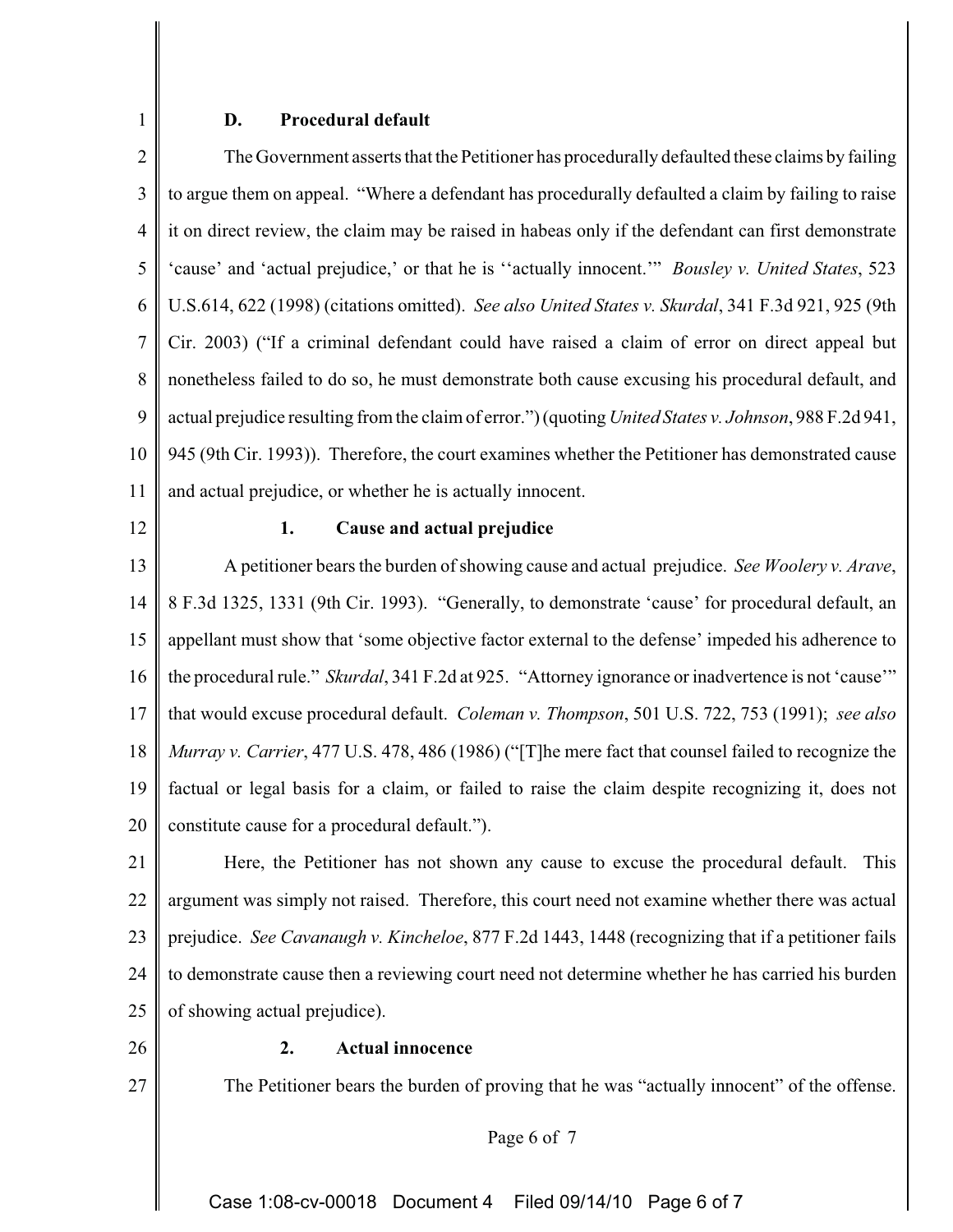### **D. Procedural default**

2 3 4 5 6 7 8 9 10 11 The Government asserts that the Petitioner has procedurally defaulted these claims by failing to argue them on appeal. "Where a defendant has procedurally defaulted a claim by failing to raise it on direct review, the claim may be raised in habeas only if the defendant can first demonstrate 'cause' and 'actual prejudice,' or that he is ''actually innocent.'" *Bousley v. United States*, 523 U.S.614, 622 (1998) (citations omitted). *See also United States v. Skurdal*, 341 F.3d 921, 925 (9th Cir. 2003) ("If a criminal defendant could have raised a claim of error on direct appeal but nonetheless failed to do so, he must demonstrate both cause excusing his procedural default, and actual prejudice resulting from the claim of error.") (quoting *United States v. Johnson*, 988 F.2d 941, 945 (9th Cir. 1993)). Therefore, the court examines whether the Petitioner has demonstrated cause and actual prejudice, or whether he is actually innocent.

12

1

#### **1. Cause and actual prejudice**

13 14 15 16 17 18 19 20 A petitioner bears the burden of showing cause and actual prejudice. *See Woolery v. Arave*, 8 F.3d 1325, 1331 (9th Cir. 1993). "Generally, to demonstrate 'cause' for procedural default, an appellant must show that 'some objective factor external to the defense' impeded his adherence to the procedural rule." *Skurdal*, 341 F.2d at 925. "Attorney ignorance or inadvertence is not 'cause'" that would excuse procedural default. *Coleman v. Thompson*, 501 U.S. 722, 753 (1991); *see also Murray v. Carrier*, 477 U.S. 478, 486 (1986) ("[T]he mere fact that counsel failed to recognize the factual or legal basis for a claim, or failed to raise the claim despite recognizing it, does not constitute cause for a procedural default.").

21 22 23 24 25 Here, the Petitioner has not shown any cause to excuse the procedural default. This argument was simply not raised. Therefore, this court need not examine whether there was actual prejudice. *See Cavanaugh v. Kincheloe*, 877 F.2d 1443, 1448 (recognizing that if a petitioner fails to demonstrate cause then a reviewing court need not determine whether he has carried his burden of showing actual prejudice).

26

27

## **2. Actual innocence**

The Petitioner bears the burden of proving that he was "actually innocent" of the offense.

Page 6 of 7

Case 1:08-cv-00018 Document 4 Filed 09/14/10 Page 6 of 7